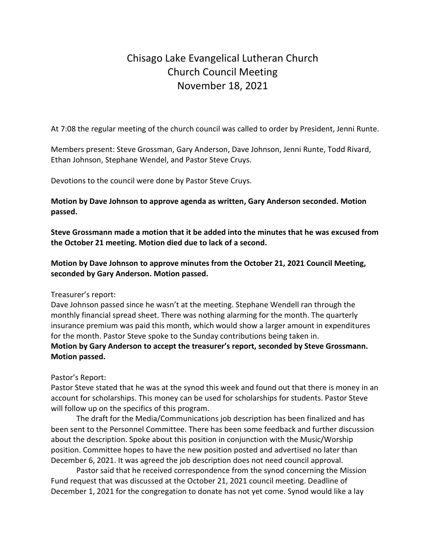# Chisago Lake Evangelical Lutheran Church Church Council Meeting November 18, 2021

At 7:08 the regular meeting of the church council was called to order by President, Jenni Runte.

Members present: Steve Grossman, Gary Anderson, Dave Johnson, Jenni Runte, Todd Rivard, Ethan Johnson, Stephane Wendel, and Pastor Steve Cruys.

Devotions to the council were done by Pastor Steve Cruys.

**Motion by Dave Johnson to approve agenda as written, Gary Anderson seconded. Motion passed.**

**Steve Grossmann made a motion that it be added into the minutes that he was excused from the October 21 meeting. Motion died due to lack of a second.**

**Motion by Dave Johnson to approve minutes from the October 21, 2021 Council Meeting, seconded by Gary Anderson. Motion passed.**

Treasurer's report:

Dave Johnson passed since he wasn't at the meeting. Stephane Wendell ran through the monthly financial spread sheet. There was nothing alarming for the month. The quarterly insurance premium was paid this month, which would show a larger amount in expenditures for the month. Pastor Steve spoke to the Sunday contributions being taken in. **Motion by Gary Anderson to accept the treasurer's report, seconded by Steve Grossmann. Motion passed.**

Pastor's Report:

Pastor Steve stated that he was at the synod this week and found out that there is money in an account for scholarships. This money can be used for scholarships for students. Pastor Steve will follow up on the specifics of this program.

The draft for the Media/Communications job description has been finalized and has been sent to the Personnel Committee. There has been some feedback and further discussion about the description. Spoke about this position in conjunction with the Music/Worship position. Committee hopes to have the new position posted and advertised no later than December 6, 2021. It was agreed the job description does not need council approval.

Pastor said that he received correspondence from the synod concerning the Mission Fund request that was discussed at the October 21, 2021 council meeting. Deadline of December 1, 2021 for the congregation to donate has not yet come. Synod would like a lay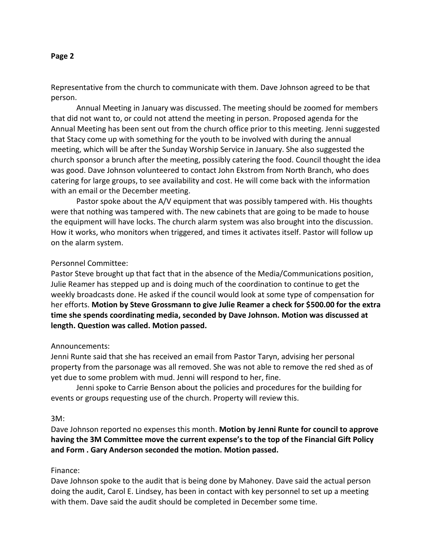#### **Page 2**

Representative from the church to communicate with them. Dave Johnson agreed to be that person.

Annual Meeting in January was discussed. The meeting should be zoomed for members that did not want to, or could not attend the meeting in person. Proposed agenda for the Annual Meeting has been sent out from the church office prior to this meeting. Jenni suggested that Stacy come up with something for the youth to be involved with during the annual meeting, which will be after the Sunday Worship Service in January. She also suggested the church sponsor a brunch after the meeting, possibly catering the food. Council thought the idea was good. Dave Johnson volunteered to contact John Ekstrom from North Branch, who does catering for large groups, to see availability and cost. He will come back with the information with an email or the December meeting.

Pastor spoke about the A/V equipment that was possibly tampered with. His thoughts were that nothing was tampered with. The new cabinets that are going to be made to house the equipment will have locks. The church alarm system was also brought into the discussion. How it works, who monitors when triggered, and times it activates itself. Pastor will follow up on the alarm system.

#### Personnel Committee:

Pastor Steve brought up that fact that in the absence of the Media/Communications position, Julie Reamer has stepped up and is doing much of the coordination to continue to get the weekly broadcasts done. He asked if the council would look at some type of compensation for her efforts. **Motion by Steve Grossmann to give Julie Reamer a check for \$500.00 for the extra time she spends coordinating media, seconded by Dave Johnson. Motion was discussed at length. Question was called. Motion passed.**

#### Announcements:

Jenni Runte said that she has received an email from Pastor Taryn, advising her personal property from the parsonage was all removed. She was not able to remove the red shed as of yet due to some problem with mud. Jenni will respond to her, fine.

Jenni spoke to Carrie Benson about the policies and procedures for the building for events or groups requesting use of the church. Property will review this.

#### 3M:

Dave Johnson reported no expenses this month. **Motion by Jenni Runte for council to approve having the 3M Committee move the current expense's to the top of the Financial Gift Policy and Form . Gary Anderson seconded the motion. Motion passed.**

# Finance:

Dave Johnson spoke to the audit that is being done by Mahoney. Dave said the actual person doing the audit, Carol E. Lindsey, has been in contact with key personnel to set up a meeting with them. Dave said the audit should be completed in December some time.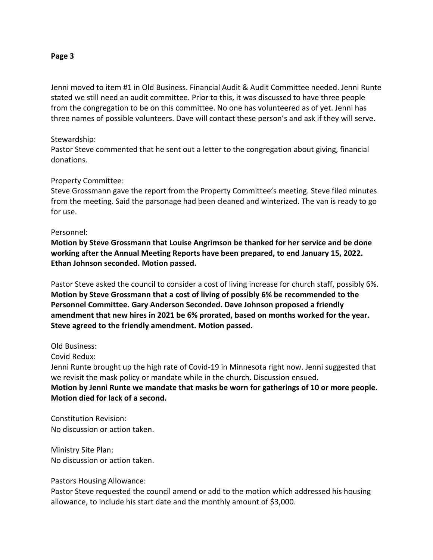#### **Page 3**

Jenni moved to item #1 in Old Business. Financial Audit & Audit Committee needed. Jenni Runte stated we still need an audit committee. Prior to this, it was discussed to have three people from the congregation to be on this committee. No one has volunteered as of yet. Jenni has three names of possible volunteers. Dave will contact these person's and ask if they will serve.

# Stewardship:

Pastor Steve commented that he sent out a letter to the congregation about giving, financial donations.

# Property Committee:

Steve Grossmann gave the report from the Property Committee's meeting. Steve filed minutes from the meeting. Said the parsonage had been cleaned and winterized. The van is ready to go for use.

## Personnel:

**Motion by Steve Grossmann that Louise Angrimson be thanked for her service and be done working after the Annual Meeting Reports have been prepared, to end January 15, 2022. Ethan Johnson seconded. Motion passed.**

Pastor Steve asked the council to consider a cost of living increase for church staff, possibly 6%. **Motion by Steve Grossmann that a cost of living of possibly 6% be recommended to the Personnel Committee. Gary Anderson Seconded. Dave Johnson proposed a friendly amendment that new hires in 2021 be 6% prorated, based on months worked for the year. Steve agreed to the friendly amendment. Motion passed.** 

Old Business:

Covid Redux:

Jenni Runte brought up the high rate of Covid-19 in Minnesota right now. Jenni suggested that we revisit the mask policy or mandate while in the church. Discussion ensued. **Motion by Jenni Runte we mandate that masks be worn for gatherings of 10 or more people. Motion died for lack of a second.**

Constitution Revision: No discussion or action taken.

Ministry Site Plan: No discussion or action taken.

Pastors Housing Allowance:

Pastor Steve requested the council amend or add to the motion which addressed his housing allowance, to include his start date and the monthly amount of \$3,000.